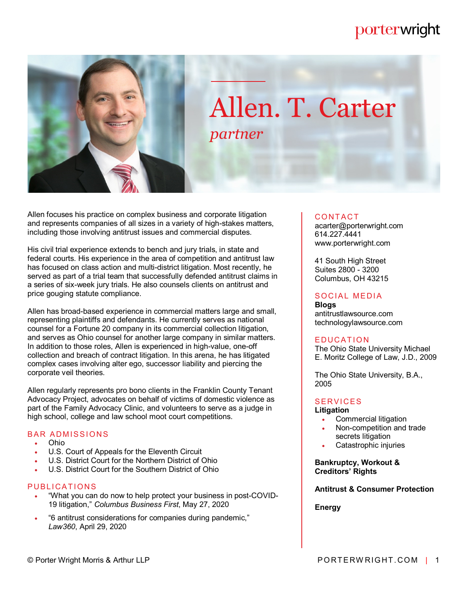## porterwright



# Allen. T. Carter *partner*

Allen focuses his practice on complex business and corporate litigation and represents companies of all sizes in a variety of high-stakes matters, including those involving antitrust issues and commercial disputes.

His civil trial experience extends to bench and jury trials, in state and federal courts. His experience in the area of competition and antitrust law has focused on class action and multi-district litigation. Most recently, he served as part of a trial team that successfully defended antitrust claims in a series of six-week jury trials. He also counsels clients on antitrust and price gouging statute compliance.

Allen has broad-based experience in commercial matters large and small, representing plaintiffs and defendants. He currently serves as national counsel for a Fortune 20 company in its commercial collection litigation, and serves as Ohio counsel for another large company in similar matters. In addition to those roles, Allen is experienced in high-value, one-off collection and breach of contract litigation. In this arena, he has litigated complex cases involving alter ego, successor liability and piercing the corporate veil theories.

Allen regularly represents pro bono clients in the Franklin County Tenant Advocacy Project, advocates on behalf of victims of domestic violence as part of the Family Advocacy Clinic, and volunteers to serve as a judge in high school, college and law school moot court competitions.

#### **BAR ADMISSIONS**

- Ohio
- U.S. Court of Appeals for the Eleventh Circuit
- U.S. District Court for the Northern District of Ohio
- U.S. District Court for the Southern District of Ohio

#### PUBLICATIONS

- "What you can do now to help protect your business in post-COVID-19 litigation," *Columbus Business First*, May 27, 2020
- "6 antitrust considerations for companies during pandemic," *Law360*, April 29, 2020

#### **CONTACT**

acarter@porterwright.com 614.227.4441 www.porterwright.com

41 South High Street Suites 2800 - 3200 Columbus, OH 43215

### SOCIAL MEDIA

**Blogs** antitrustlawsource.com technologylawsource.com

#### **EDUCATION**

The Ohio State University Michael E. Moritz College of Law, J.D., 2009

The Ohio State University, B.A., 2005

#### **SERVICES**

#### **Litigation**

- Commercial litigation
- Non-competition and trade secrets litigation
- Catastrophic injuries

#### **Bankruptcy, Workout & Creditors' Rights**

#### **Antitrust & Consumer Protection**

**Energy**